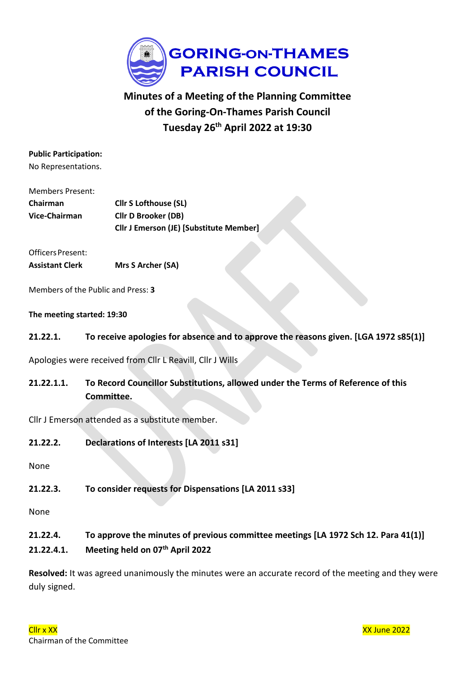

# **Minutes of a Meeting of the Planning Committee of the Goring-On-Thames Parish Council Tuesday 26th April 2022 at 19:30**

# **Public Participation:**

No Representations.

| Members Present: |                                                |
|------------------|------------------------------------------------|
| <b>Chairman</b>  | <b>Cllr S Lofthouse (SL)</b>                   |
| Vice-Chairman    | <b>Cllr D Brooker (DB)</b>                     |
|                  | <b>Cllr J Emerson (JE) [Substitute Member]</b> |

Officers Present: **Assistant Clerk Mrs S Archer (SA)**

Members of the Public and Press: **3**

**The meeting started: 19:30**

**21.22.1. To receive apologies for absence and to approve the reasons given. [LGA 1972 s85(1)]**

Apologies were received from Cllr L Reavill, Cllr J Wills

**21.22.1.1. To Record Councillor Substitutions, allowed under the Terms of Reference of this Committee.**

Cllr J Emerson attended as a substitute member.

**21.22.2. Declarations of Interests [LA 2011 s31]**

None

**21.22.3. To consider requests for Dispensations [LA 2011 s33]**

None

- **21.22.4. To approve the minutes of previous committee meetings [LA 1972 Sch 12. Para 41(1)]**
- **21.22.4.1. Meeting held on 07th April 2022**

**Resolved:** It was agreed unanimously the minutes were an accurate record of the meeting and they were duly signed.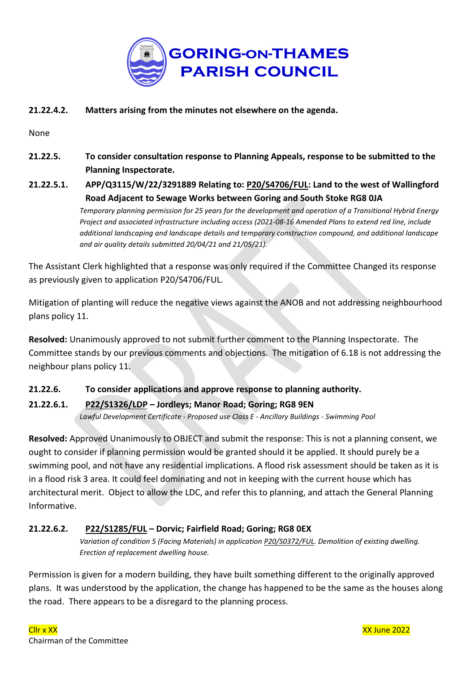

# **21.22.4.2. Matters arising from the minutes not elsewhere on the agenda.**

None

- **21.22.5. To consider consultation response to Planning Appeals, response to be submitted to the Planning Inspectorate.**
- **21.22.5.1. APP/Q3115/W/22/3291889 Relating to: [P20/S4706/FUL:](https://data.southoxon.gov.uk/ccm/support/Main.jsp?MODULE=ApplicationDetails&REF=P20/S4706/FUL) Land to the west of Wallingford Road Adjacent to Sewage Works between Goring and South Stoke RG8 0JA**

*Temporary planning permission for 25 years for the development and operation of a Transitional Hybrid Energy Project and associated infrastructure including access (2021-08-16 Amended Plans to extend red line, include additional landscaping and landscape details and temporary construction compound, and additional landscape and air quality details submitted 20/04/21 and 21/05/21).*

The Assistant Clerk highlighted that a response was only required if the Committee Changed its response as previously given to application P20/S4706/FUL.

Mitigation of planting will reduce the negative views against the ANOB and not addressing neighbourhood plans policy 11.

**Resolved:** Unanimously approved to not submit further comment to the Planning Inspectorate. The Committee stands by our previous comments and objections. The mitigation of 6.18 is not addressing the neighbour plans policy 11.

# **21.22.6. To consider applications and approve response to planning authority.**

**21.22.6.1. [P22/S1326/LDP](https://data.southoxon.gov.uk/ccm/support/Main.jsp?MODULE=ApplicationDetails&REF=P22/S1326/LDP) – Jordleys; Manor Road; Goring; RG8 9EN** *Lawful Development Certificate - Proposed use Class E - Ancillary Buildings - Swimming Pool*

**Resolved:** Approved Unanimously to OBJECT and submit the response: This is not a planning consent, we ought to consider if planning permission would be granted should it be applied. It should purely be a swimming pool, and not have any residential implications. A flood risk assessment should be taken as it is in a flood risk 3 area. It could feel dominating and not in keeping with the current house which has architectural merit. Object to allow the LDC, and refer this to planning, and attach the General Planning Informative.

# **21.22.6.2. [P22/S1285/FUL](https://data.southoxon.gov.uk/ccm/support/Main.jsp?MODULE=ApplicationDetails&REF=P22/S1285/FUL) – Dorvic; Fairfield Road; Goring; RG8 0EX**

*Variation of condition 5 (Facing Materials) in application [P20/S0372/FUL.](https://goringparishcouncil.sharepoint.com/Post%202015%20Files/2021-2022/Meetings/22_26April2022_Planning/Agenda_26April2022_Planning.docx) Demolition of existing dwelling. Erection of replacement dwelling house.*

Permission is given for a modern building, they have built something different to the originally approved plans. It was understood by the application, the change has happened to be the same as the houses along the road. There appears to be a disregard to the planning process.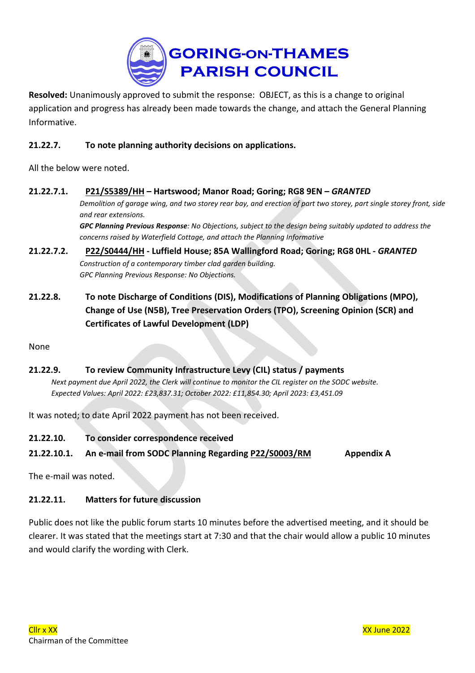

**Resolved:** Unanimously approved to submit the response: OBJECT, as this is a change to original application and progress has already been made towards the change, and attach the General Planning Informative.

# **21.22.7. To note planning authority decisions on applications.**

All the below were noted.

# **21.22.7.1. [P21/S5389/HH](https://data.southoxon.gov.uk/ccm/support/Main.jsp?MODULE=ApplicationDetails&REF=P21/S5389/HH) – Hartswood; Manor Road; Goring; RG8 9EN –** *GRANTED* Demolition of garage wing, and two storey rear bay, and erection of part two storey, part single storey front, side *and rear extensions.*

GPC Planning Previous Response: No Objections, subject to the design being suitably updated to address the *concerns raised by Waterfield Cottage, and attach the Planning Informative*

- **21.22.7.2. [P22/S0444/HH](https://data.southoxon.gov.uk/ccm/support/Main.jsp?MODULE=ApplicationDetails&REF=P22/S0444/HH) - Luffield House; 85A Wallingford Road; Goring; RG8 0HL -** *GRANTED Construction of a contemporary timber clad garden building. GPC Planning Previous Response: No Objections.*
- **21.22.8. To note Discharge of Conditions (DIS), Modifications of Planning Obligations (MPO), Change of Use (N5B), Tree Preservation Orders (TPO), Screening Opinion (SCR) and Certificates of Lawful Development (LDP)**

None

# **21.22.9. To review Community Infrastructure Levy (CIL) status / payments**

Next payment due April 2022, the Clerk will continue to monitor the CIL register on the SODC website. *Expected Values: April 2022: £23,837.31; October 2022: £11,854.30; April 2023: £3,451.09*

It was noted; to date April 2022 payment has not been received.

**21.22.10. To consider correspondence received**

# **21.22.10.1. An e-mail from SODC Planning Regarding [P22/S0003/RM](https://data.southoxon.gov.uk/ccm/support/Main.jsp?MODULE=ApplicationDetails&REF=P22/S0003/RM) Appendix A**

The e-mail was noted.

# **21.22.11. Matters for future discussion**

Public does not like the public forum starts 10 minutes before the advertised meeting, and it should be clearer. It was stated that the meetings start at 7:30 and that the chair would allow a public 10 minutes and would clarify the wording with Clerk.